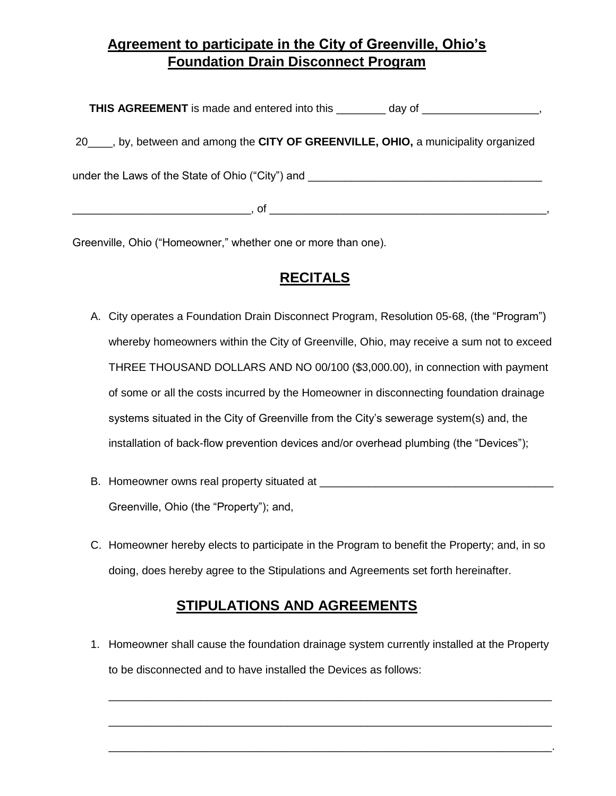# **Agreement to participate in the City of Greenville, Ohio's Foundation Drain Disconnect Program**

**THIS AGREEMENT** is made and entered into this \_\_\_\_\_\_\_\_ day of \_\_\_\_\_\_\_\_\_\_\_\_\_\_\_\_\_\_, 20\_\_\_\_, by, between and among the **CITY OF GREENVILLE, OHIO,** a municipality organized under the Laws of the State of Ohio ("City") and \_\_\_\_\_\_\_\_\_\_\_\_\_\_\_\_\_\_\_\_\_\_\_\_\_\_\_\_\_\_\_  $\Box$ , of  $\Box$ 

Greenville, Ohio ("Homeowner," whether one or more than one).

# **RECITALS**

- A. City operates a Foundation Drain Disconnect Program, Resolution 05-68, (the "Program") whereby homeowners within the City of Greenville, Ohio, may receive a sum not to exceed THREE THOUSAND DOLLARS AND NO 00/100 (\$3,000.00), in connection with payment of some or all the costs incurred by the Homeowner in disconnecting foundation drainage systems situated in the City of Greenville from the City's sewerage system(s) and, the installation of back-flow prevention devices and/or overhead plumbing (the "Devices");
- B. Homeowner owns real property situated at  $\overline{a}$ Greenville, Ohio (the "Property"); and,
- C. Homeowner hereby elects to participate in the Program to benefit the Property; and, in so doing, does hereby agree to the Stipulations and Agreements set forth hereinafter.

## **STIPULATIONS AND AGREEMENTS**

1. Homeowner shall cause the foundation drainage system currently installed at the Property to be disconnected and to have installed the Devices as follows:

\_\_\_\_\_\_\_\_\_\_\_\_\_\_\_\_\_\_\_\_\_\_\_\_\_\_\_\_\_\_\_\_\_\_\_\_\_\_\_\_\_\_\_\_\_\_\_\_\_\_\_\_\_\_\_\_\_\_\_\_\_\_\_\_\_\_\_\_\_\_\_\_

\_\_\_\_\_\_\_\_\_\_\_\_\_\_\_\_\_\_\_\_\_\_\_\_\_\_\_\_\_\_\_\_\_\_\_\_\_\_\_\_\_\_\_\_\_\_\_\_\_\_\_\_\_\_\_\_\_\_\_\_\_\_\_\_\_\_\_\_\_\_\_\_

\_\_\_\_\_\_\_\_\_\_\_\_\_\_\_\_\_\_\_\_\_\_\_\_\_\_\_\_\_\_\_\_\_\_\_\_\_\_\_\_\_\_\_\_\_\_\_\_\_\_\_\_\_\_\_\_\_\_\_\_\_\_\_\_\_\_\_\_\_\_\_\_.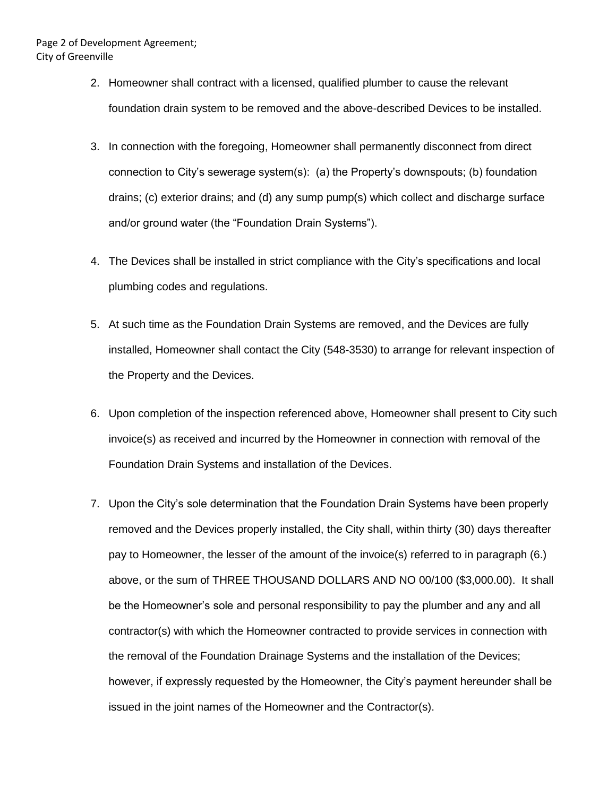- 2. Homeowner shall contract with a licensed, qualified plumber to cause the relevant foundation drain system to be removed and the above-described Devices to be installed.
- 3. In connection with the foregoing, Homeowner shall permanently disconnect from direct connection to City's sewerage system(s): (a) the Property's downspouts; (b) foundation drains; (c) exterior drains; and (d) any sump pump(s) which collect and discharge surface and/or ground water (the "Foundation Drain Systems").
- 4. The Devices shall be installed in strict compliance with the City's specifications and local plumbing codes and regulations.
- 5. At such time as the Foundation Drain Systems are removed, and the Devices are fully installed, Homeowner shall contact the City (548-3530) to arrange for relevant inspection of the Property and the Devices.
- 6. Upon completion of the inspection referenced above, Homeowner shall present to City such invoice(s) as received and incurred by the Homeowner in connection with removal of the Foundation Drain Systems and installation of the Devices.
- 7. Upon the City's sole determination that the Foundation Drain Systems have been properly removed and the Devices properly installed, the City shall, within thirty (30) days thereafter pay to Homeowner, the lesser of the amount of the invoice(s) referred to in paragraph (6.) above, or the sum of THREE THOUSAND DOLLARS AND NO 00/100 (\$3,000.00). It shall be the Homeowner's sole and personal responsibility to pay the plumber and any and all contractor(s) with which the Homeowner contracted to provide services in connection with the removal of the Foundation Drainage Systems and the installation of the Devices; however, if expressly requested by the Homeowner, the City's payment hereunder shall be issued in the joint names of the Homeowner and the Contractor(s).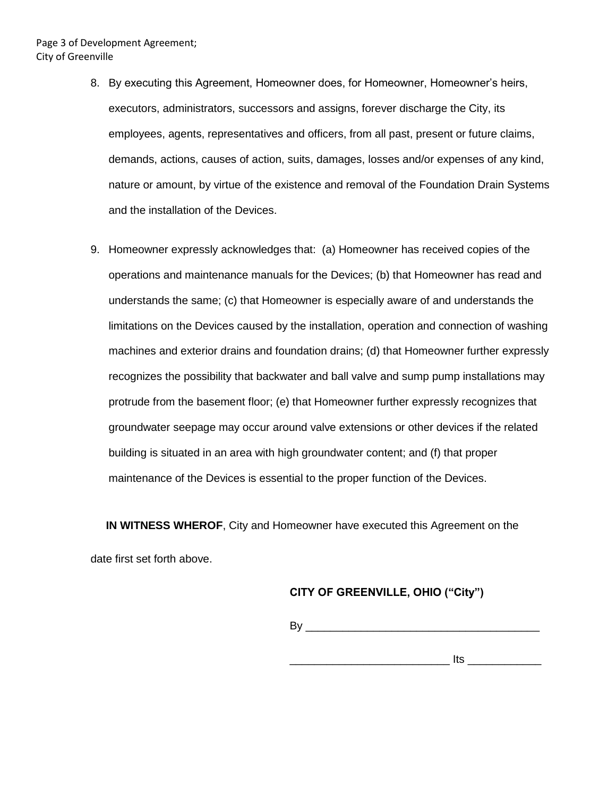- 8. By executing this Agreement, Homeowner does, for Homeowner, Homeowner's heirs, executors, administrators, successors and assigns, forever discharge the City, its employees, agents, representatives and officers, from all past, present or future claims, demands, actions, causes of action, suits, damages, losses and/or expenses of any kind, nature or amount, by virtue of the existence and removal of the Foundation Drain Systems and the installation of the Devices.
- 9. Homeowner expressly acknowledges that: (a) Homeowner has received copies of the operations and maintenance manuals for the Devices; (b) that Homeowner has read and understands the same; (c) that Homeowner is especially aware of and understands the limitations on the Devices caused by the installation, operation and connection of washing machines and exterior drains and foundation drains; (d) that Homeowner further expressly recognizes the possibility that backwater and ball valve and sump pump installations may protrude from the basement floor; (e) that Homeowner further expressly recognizes that groundwater seepage may occur around valve extensions or other devices if the related building is situated in an area with high groundwater content; and (f) that proper maintenance of the Devices is essential to the proper function of the Devices.

 **IN WITNESS WHEROF**, City and Homeowner have executed this Agreement on the date first set forth above.

### **CITY OF GREENVILLE, OHIO ("City")**

 $\mathsf{By} \_\_\_\_\_\$ 

 $\blacksquare$  its  $\blacksquare$